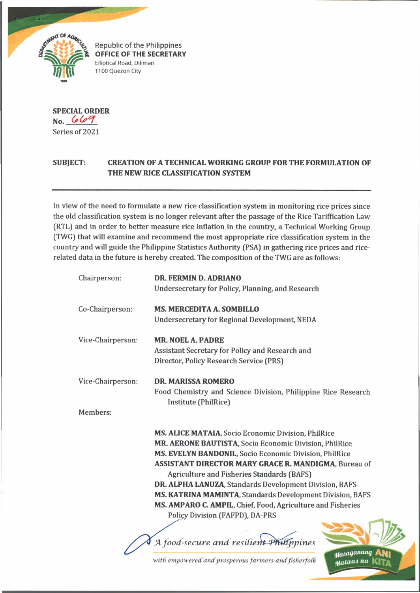

Republic of the Philippines **OFFICE OF THE SECRETARY** Elliptical Road, Diliman 1100 Quezon City

**SPECIAL ORDER No.** Series of 2021

## **SUBJECT: CREATION OF A TECHNICAL WORKING GROUP FOR THE FORMULATION OF THE NEW RICE CLASSIFICATION SYSTEM**

In view of the need to formulate a new rice classification system in monitoring rice prices since the old classification system is no longer relevant after the passage of the Rice Tariffication Law (RTL) and in order to better measure rice inflation in the country, a Technical Working Group (TWG) that will examine and recommend the most appropriate rice classification system in the country and will guide the Philippine Statistics Authority (PSA) in gathering rice prices and ricerelated data in the future is hereby created. The composition of the TWG are as follows:

| Chairperson:      | DR. FERMIN D. ADRIANO                                                                      |
|-------------------|--------------------------------------------------------------------------------------------|
|                   | Undersecretary for Policy, Planning, and Research                                          |
| Co-Chairperson:   | <b>MS. MERCEDITA A. SOMBILLO</b>                                                           |
|                   | Undersecretary for Regional Development, NEDA                                              |
| Vice-Chairperson: | <b>MR. NOEL A. PADRE</b>                                                                   |
|                   | Assistant Secretary for Policy and Research and<br>Director, Policy Research Service (PRS) |
| Vice-Chairperson: | <b>DR. MARISSA ROMERO</b>                                                                  |
|                   | Food Chemistry and Science Division, Philippine Rice Research<br>Institute (PhilRice)      |
| Members:          |                                                                                            |
|                   | MS. ALICE MATAIA, Socio Economic Division, PhilRice                                        |
|                   | MR. AERONE BAUTISTA, Socio Economic Division, PhilRice                                     |
|                   | MS. EVELYN BANDONIL, Socio Economic Division, PhilRice                                     |
|                   | <b>ASSISTANT DIRECTOR MARY GRACE R. MANDIGMA, Bureau of</b>                                |
|                   | <b>Agriculture and Fisheries Standards (BAFS)</b>                                          |
|                   | DR. ALPHA LANUZA, Standards Development Division, BAFS                                     |
|                   | MS. KATRINA MAMINTA, Standards Development Division, BAFS                                  |
|                   | MS. AMPARO C. AMPIL, Chief, Food, Agriculture and Fisheries                                |
|                   | Policy Division (FAFPD), DA-PRS                                                            |
|                   |                                                                                            |
|                   | A food-secure and resilient Philippines                                                    |
|                   | Masaganang                                                                                 |

with empowered and prosperous farmers and fisherfolk

*UfaULO-J na* **KITa.**